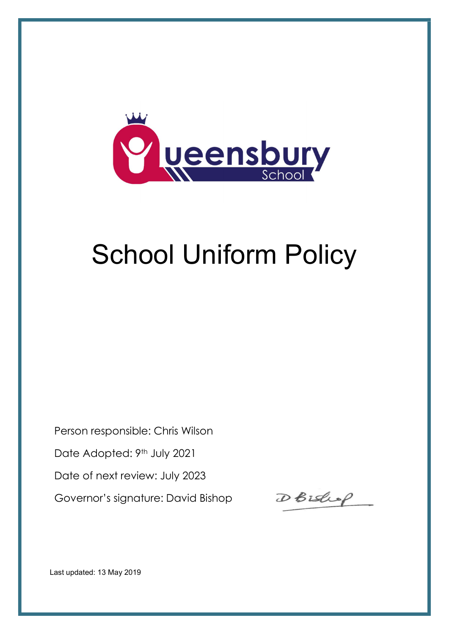

# School Uniform Policy

Person responsible: Chris Wilson Date Adopted: 9th July 2021 Date of next review: July 2023 Governor's signature: David Bishop

DBishop

Last updated: 13 May 2019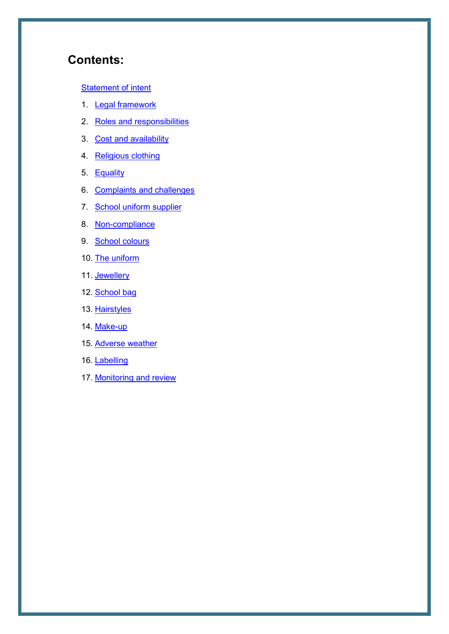# Contents:

#### **Statement of intent**

- 1. Legal framework
- 2. Roles and responsibilities
- 3. Cost and availability
- 4. Religious clothing
- 5. Equality
- 6. Complaints and challenges
- 7. School uniform supplier
- 8. Non-compliance
- 9. School colours
- 10. The uniform
- 11. Jewellery
- 12. School bag
- 13. Hairstyles
- 14. Make-up
- 15. Adverse weather
- 16. Labelling
- 17. Monitoring and review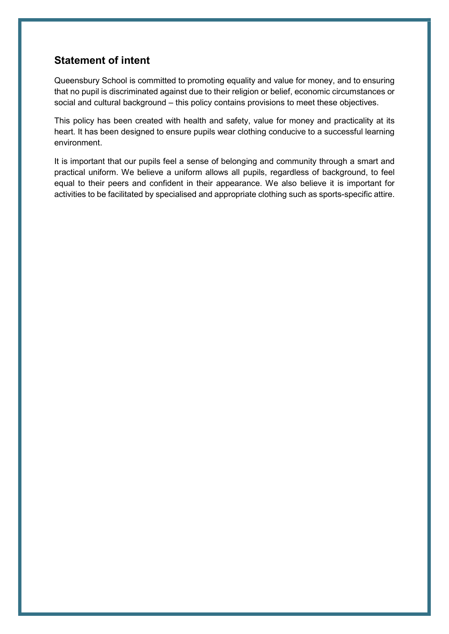# Statement of intent

Queensbury School is committed to promoting equality and value for money, and to ensuring that no pupil is discriminated against due to their religion or belief, economic circumstances or social and cultural background – this policy contains provisions to meet these objectives.

This policy has been created with health and safety, value for money and practicality at its heart. It has been designed to ensure pupils wear clothing conducive to a successful learning environment.

It is important that our pupils feel a sense of belonging and community through a smart and practical uniform. We believe a uniform allows all pupils, regardless of background, to feel equal to their peers and confident in their appearance. We also believe it is important for activities to be facilitated by specialised and appropriate clothing such as sports-specific attire.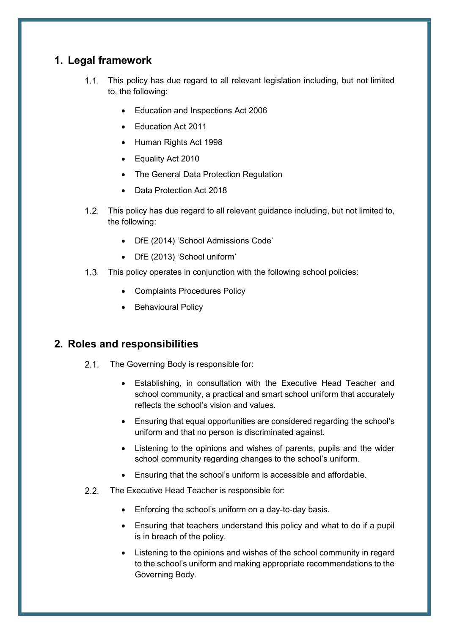# 1. Legal framework

- This policy has due regard to all relevant legislation including, but not limited to, the following:
	- Education and Inspections Act 2006
	- Education Act 2011
	- Human Rights Act 1998
	- Equality Act 2010
	- The General Data Protection Regulation
	- Data Protection Act 2018
- 1.2. This policy has due regard to all relevant guidance including, but not limited to, the following:
	- DfE (2014) 'School Admissions Code'
	- DfE (2013) 'School uniform'
- 1.3. This policy operates in conjunction with the following school policies:
	- Complaints Procedures Policy
	- Behavioural Policy

# 2. Roles and responsibilities

- 2.1. The Governing Body is responsible for:
	- Establishing, in consultation with the Executive Head Teacher and school community, a practical and smart school uniform that accurately reflects the school's vision and values.
	- Ensuring that equal opportunities are considered regarding the school's uniform and that no person is discriminated against.
	- Listening to the opinions and wishes of parents, pupils and the wider school community regarding changes to the school's uniform.
	- Ensuring that the school's uniform is accessible and affordable.
- 2.2. The Executive Head Teacher is responsible for:
	- Enforcing the school's uniform on a day-to-day basis.
	- Ensuring that teachers understand this policy and what to do if a pupil is in breach of the policy.
	- Listening to the opinions and wishes of the school community in regard to the school's uniform and making appropriate recommendations to the Governing Body.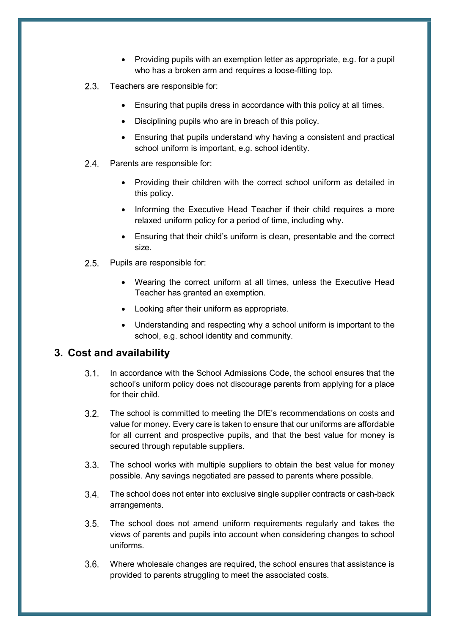- Providing pupils with an exemption letter as appropriate, e.g. for a pupil who has a broken arm and requires a loose-fitting top.
- 2.3. Teachers are responsible for:
	- Ensuring that pupils dress in accordance with this policy at all times.
	- Disciplining pupils who are in breach of this policy.
	- Ensuring that pupils understand why having a consistent and practical school uniform is important, e.g. school identity.
- 2.4. Parents are responsible for:
	- Providing their children with the correct school uniform as detailed in this policy.
	- Informing the Executive Head Teacher if their child requires a more relaxed uniform policy for a period of time, including why.
	- Ensuring that their child's uniform is clean, presentable and the correct size.
- 2.5. Pupils are responsible for:
	- Wearing the correct uniform at all times, unless the Executive Head Teacher has granted an exemption.
	- Looking after their uniform as appropriate.
	- Understanding and respecting why a school uniform is important to the school, e.g. school identity and community.

#### 3. Cost and availability

- In accordance with the School Admissions Code, the school ensures that the school's uniform policy does not discourage parents from applying for a place for their child.
- 3.2. The school is committed to meeting the DfE's recommendations on costs and value for money. Every care is taken to ensure that our uniforms are affordable for all current and prospective pupils, and that the best value for money is secured through reputable suppliers.
- The school works with multiple suppliers to obtain the best value for money possible. Any savings negotiated are passed to parents where possible.
- The school does not enter into exclusive single supplier contracts or cash-back arrangements.
- 3.5. The school does not amend uniform requirements regularly and takes the views of parents and pupils into account when considering changes to school uniforms.
- Where wholesale changes are required, the school ensures that assistance is provided to parents struggling to meet the associated costs.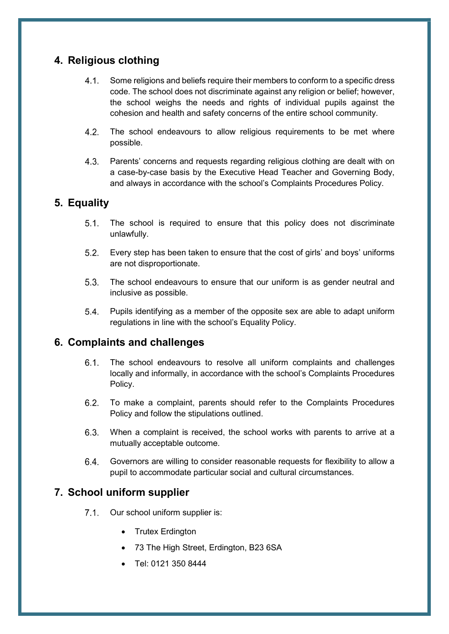# 4. Religious clothing

- Some religions and beliefs require their members to conform to a specific dress code. The school does not discriminate against any religion or belief; however, the school weighs the needs and rights of individual pupils against the cohesion and health and safety concerns of the entire school community.
- 4.2. The school endeavours to allow religious requirements to be met where possible.
- 4.3. Parents' concerns and requests regarding religious clothing are dealt with on a case-by-case basis by the Executive Head Teacher and Governing Body, and always in accordance with the school's Complaints Procedures Policy.

# 5. Equality

- 5.1. The school is required to ensure that this policy does not discriminate unlawfully.
- Every step has been taken to ensure that the cost of girls' and boys' uniforms are not disproportionate.
- 5.3. The school endeavours to ensure that our uniform is as gender neutral and inclusive as possible.
- Pupils identifying as a member of the opposite sex are able to adapt uniform regulations in line with the school's Equality Policy.

## 6. Complaints and challenges

- 6.1. The school endeavours to resolve all uniform complaints and challenges locally and informally, in accordance with the school's Complaints Procedures Policy.
- 6.2. To make a complaint, parents should refer to the Complaints Procedures Policy and follow the stipulations outlined.
- When a complaint is received, the school works with parents to arrive at a mutually acceptable outcome.
- Governors are willing to consider reasonable requests for flexibility to allow a pupil to accommodate particular social and cultural circumstances.

# 7. School uniform supplier

- 7.1. Our school uniform supplier is:
	- Trutex Erdington
	- 73 The High Street, Erdington, B23 6SA
	- Tel: 0121 350 8444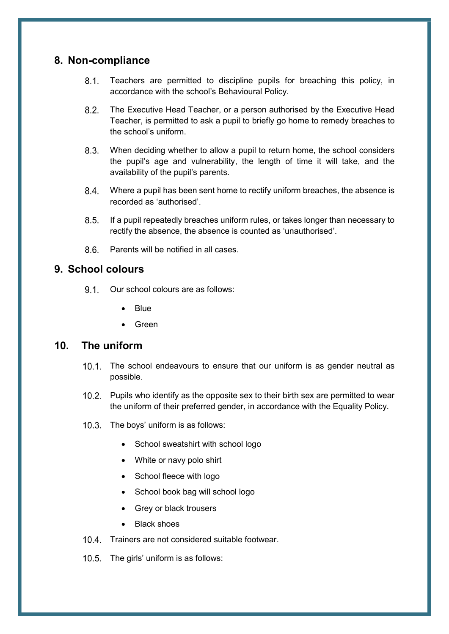#### 8. Non-compliance

- Teachers are permitted to discipline pupils for breaching this policy, in accordance with the school's Behavioural Policy.
- The Executive Head Teacher, or a person authorised by the Executive Head Teacher, is permitted to ask a pupil to briefly go home to remedy breaches to the school's uniform.
- When deciding whether to allow a pupil to return home, the school considers the pupil's age and vulnerability, the length of time it will take, and the availability of the pupil's parents.
- Where a pupil has been sent home to rectify uniform breaches, the absence is recorded as 'authorised'.
- 8.5. If a pupil repeatedly breaches uniform rules, or takes longer than necessary to rectify the absence, the absence is counted as 'unauthorised'.
- Parents will be notified in all cases.

#### 9. School colours

- 9.1. Our school colours are as follows:
	- Blue
	- Green

#### 10. The uniform

- 10.1. The school endeavours to ensure that our uniform is as gender neutral as possible.
- 10.2. Pupils who identify as the opposite sex to their birth sex are permitted to wear the uniform of their preferred gender, in accordance with the Equality Policy.
- 10.3. The boys' uniform is as follows:
	- School sweatshirt with school logo
	- White or navy polo shirt
	- School fleece with logo
	- School book bag will school logo
	- Grey or black trousers
	- Black shoes
- 10.4. Trainers are not considered suitable footwear.
- 10.5. The girls' uniform is as follows: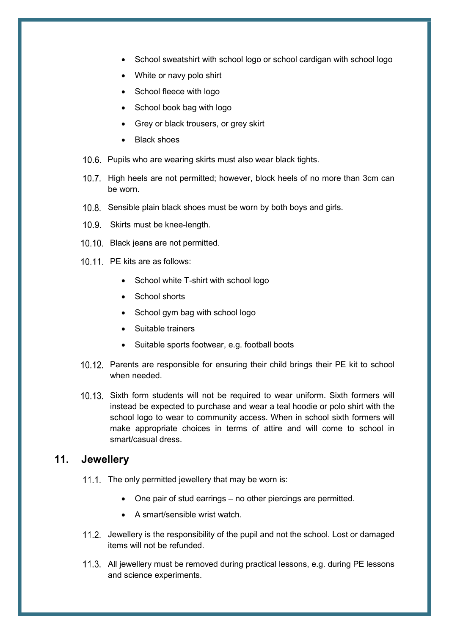- School sweatshirt with school logo or school cardigan with school logo
- White or navy polo shirt
- School fleece with logo
- School book bag with logo
- Grey or black trousers, or grey skirt
- Black shoes
- 10.6. Pupils who are wearing skirts must also wear black tights.
- 10.7. High heels are not permitted; however, block heels of no more than 3cm can be worn.
- 10.8. Sensible plain black shoes must be worn by both boys and girls.
- 10.9. Skirts must be knee-length.
- 10.10. Black jeans are not permitted.
- 10.11. PE kits are as follows:
	- School white T-shirt with school logo
	- School shorts
	- School gym bag with school logo
	- Suitable trainers
	- Suitable sports footwear, e.g. football boots
- 10.12. Parents are responsible for ensuring their child brings their PE kit to school when needed.
- 10.13. Sixth form students will not be required to wear uniform. Sixth formers will instead be expected to purchase and wear a teal hoodie or polo shirt with the school logo to wear to community access. When in school sixth formers will make appropriate choices in terms of attire and will come to school in smart/casual dress.

## 11. Jewellery

- 11.1. The only permitted jewellery that may be worn is:
	- One pair of stud earrings no other piercings are permitted.
	- A smart/sensible wrist watch.
- 11.2. Jewellery is the responsibility of the pupil and not the school. Lost or damaged items will not be refunded.
- 11.3. All jewellery must be removed during practical lessons, e.g. during PE lessons and science experiments.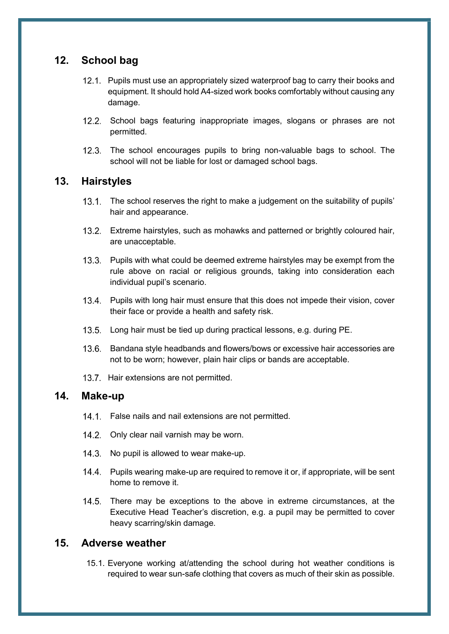## 12. School bag

- 12.1. Pupils must use an appropriately sized waterproof bag to carry their books and equipment. It should hold A4-sized work books comfortably without causing any damage.
- 12.2. School bags featuring inappropriate images, slogans or phrases are not permitted.
- 12.3. The school encourages pupils to bring non-valuable bags to school. The school will not be liable for lost or damaged school bags.

#### 13. Hairstyles

- 13.1. The school reserves the right to make a judgement on the suitability of pupils' hair and appearance.
- Extreme hairstyles, such as mohawks and patterned or brightly coloured hair, are unacceptable.
- 13.3. Pupils with what could be deemed extreme hairstyles may be exempt from the rule above on racial or religious grounds, taking into consideration each individual pupil's scenario.
- 13.4. Pupils with long hair must ensure that this does not impede their vision, cover their face or provide a health and safety risk.
- 13.5. Long hair must be tied up during practical lessons, e.g. during PE.
- 13.6. Bandana style headbands and flowers/bows or excessive hair accessories are not to be worn; however, plain hair clips or bands are acceptable.
- 13.7. Hair extensions are not permitted.

#### 14. Make-up

- 14.1. False nails and nail extensions are not permitted.
- 14.2. Only clear nail varnish may be worn.
- 14.3. No pupil is allowed to wear make-up.
- 14.4. Pupils wearing make-up are required to remove it or, if appropriate, will be sent home to remove it.
- 14.5. There may be exceptions to the above in extreme circumstances, at the Executive Head Teacher's discretion, e.g. a pupil may be permitted to cover heavy scarring/skin damage.

#### 15. Adverse weather

15.1. Everyone working at/attending the school during hot weather conditions is required to wear sun-safe clothing that covers as much of their skin as possible.